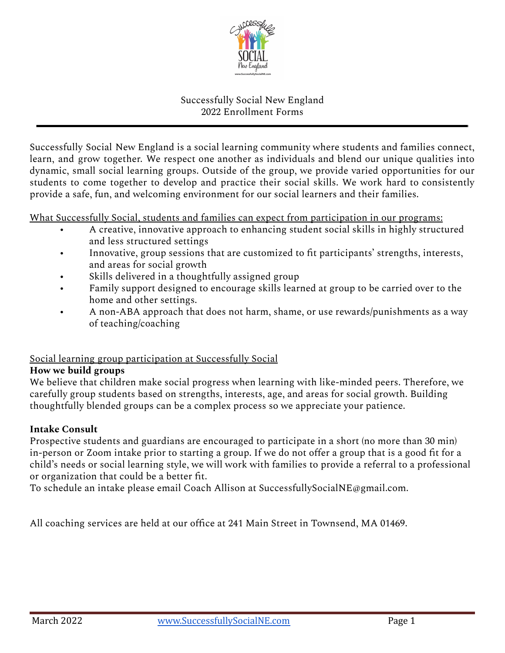

# Successfully Social New England 2022 Enrollment Forms

Successfully Social New England is a social learning community where students and families connect, learn, and grow together. We respect one another as individuals and blend our unique qualities into dynamic, small social learning groups. Outside of the group, we provide varied opportunities for our students to come together to develop and practice their social skills. We work hard to consistently provide a safe, fun, and welcoming environment for our social learners and their families.

What Successfully Social, students and families can expect from participation in our programs:

- A creative, innovative approach to enhancing student social skills in highly structured and less structured settings
- Innovative, group sessions that are customized to fit participants' strengths, interests, and areas for social growth
- Skills delivered in a thoughtfully assigned group
- Family support designed to encourage skills learned at group to be carried over to the home and other settings.
- A non-ABA approach that does not harm, shame, or use rewards/punishments as a way of teaching/coaching

### Social learning group participation at Successfully Social

#### **How we build groups**

We believe that children make social progress when learning with like-minded peers. Therefore, we carefully group students based on strengths, interests, age, and areas for social growth. Building thoughtfully blended groups can be a complex process so we appreciate your patience.

### **Intake Consult**

Prospective students and guardians are encouraged to participate in a short (no more than 30 min) in-person or Zoom intake prior to starting a group. If we do not offer a group that is a good fit for a child's needs or social learning style, we will work with families to provide a referral to a professional or organization that could be a better fit.

To schedule an intake please email Coach Allison at SuccessfullySocialNE@gmail.com.

All coaching services are held at our office at 241 Main Street in Townsend, MA 01469.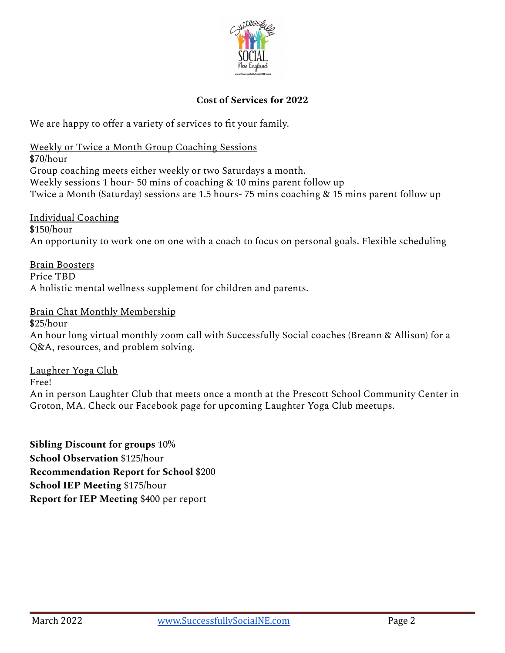

#### **Cost of Services for 2022**

We are happy to offer a variety of services to fit your family.

Weekly or Twice a Month Group Coaching Sessions

\$70/hour Group coaching meets either weekly or two Saturdays a month. Weekly sessions 1 hour- 50 mins of coaching & 10 mins parent follow up Twice a Month (Saturday) sessions are 1.5 hours- 75 mins coaching & 15 mins parent follow up

Individual Coaching  $$150/h$ our An opportunity to work one on one with a coach to focus on personal goals. Flexible scheduling

Brain Boosters Price TBD A holistic mental wellness supplement for children and parents.

Brain Chat Monthly Membership

\$25/hour

An hour long virtual monthly zoom call with Successfully Social coaches (Breann & Allison) for a Q&A, resources, and problem solving.

Laughter Yoga Club

Free!

An in person Laughter Club that meets once a month at the Prescott School Community Center in Groton, MA. Check our Facebook page for upcoming Laughter Yoga Club meetups.

**Sibling Discount for groups** 10% **School Observation** \$125/hour **Recommendation Report for School** \$200 **School IEP Meeting** \$175/hour **Report for IEP Meeting** \$400 per report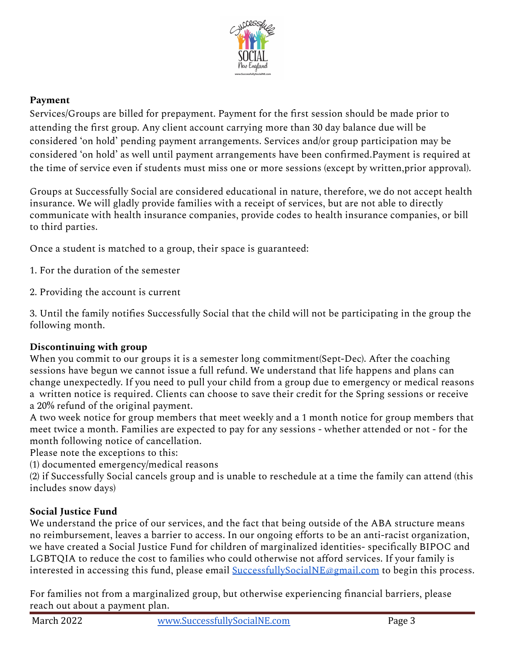

# **Payment**

Services/Groups are billed for prepayment. Payment for the first session should be made prior to attending the first group. Any client account carrying more than 30 day balance due will be considered 'on hold' pending payment arrangements. Services and/or group participation may be considered 'on hold' as well until payment arrangements have been confirmed.Payment is required at the time of service even if students must miss one or more sessions (except by written,prior approval).

Groups at Successfully Social are considered educational in nature, therefore, we do not accept health insurance. We will gladly provide families with a receipt of services, but are not able to directly communicate with health insurance companies, provide codes to health insurance companies, or bill to third parties.

Once a student is matched to a group, their space is guaranteed:

- 1. For the duration of the semester
- 2. Providing the account is current

3. Until the family notifies Successfully Social that the child will not be participating in the group the following month.

# **Discontinuing with group**

When you commit to our groups it is a semester long commitment(Sept-Dec). After the coaching sessions have begun we cannot issue a full refund. We understand that life happens and plans can change unexpectedly. If you need to pull your child from a group due to emergency or medical reasons a written notice is required. Clients can choose to save their credit for the Spring sessions or receive a 20% refund of the original payment.

A two week notice for group members that meet weekly and a 1 month notice for group members that meet twice a month. Families are expected to pay for any sessions - whether attended or not - for the month following notice of cancellation.

Please note the exceptions to this:

(1) documented emergency/medical reasons

(2) if Successfully Social cancels group and is unable to reschedule at a time the family can attend (this includes snow days)

### **Social Justice Fund**

We understand the price of our services, and the fact that being outside of the ABA structure means no reimbursement, leaves a barrier to access. In our ongoing efforts to be an anti-racist organization, we have created a Social Justice Fund for children of marginalized identities- specifically BIPOC and LGBTQIA to reduce the cost to families who could otherwise not afford services. If your family is interested in accessing this fund, please email [SuccessfullySocialNE@gmail.com](mailto:SuccessfullySocialNE@gmail.com) to begin this process.

For families not from a marginalized group, but otherwise experiencing financial barriers, please reach out about a payment plan.